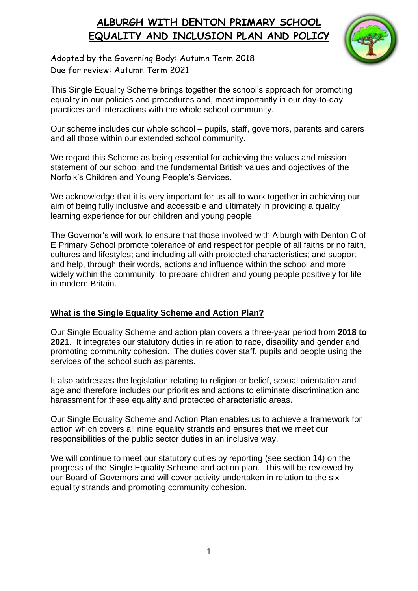

Adopted by the Governing Body: Autumn Term 2018 Due for review: Autumn Term 2021

This Single Equality Scheme brings together the school's approach for promoting equality in our policies and procedures and, most importantly in our day-to-day practices and interactions with the whole school community.

Our scheme includes our whole school – pupils, staff, governors, parents and carers and all those within our extended school community.

We regard this Scheme as being essential for achieving the values and mission statement of our school and the fundamental British values and objectives of the Norfolk's Children and Young People's Services.

We acknowledge that it is very important for us all to work together in achieving our aim of being fully inclusive and accessible and ultimately in providing a quality learning experience for our children and young people.

The Governor's will work to ensure that those involved with Alburgh with Denton C of E Primary School promote tolerance of and respect for people of all faiths or no faith, cultures and lifestyles; and including all with protected characteristics; and support and help, through their words, actions and influence within the school and more widely within the community, to prepare children and young people positively for life in modern Britain.

#### **What is the Single Equality Scheme and Action Plan?**

Our Single Equality Scheme and action plan covers a three-year period from **2018 to 2021**. It integrates our statutory duties in relation to race, disability and gender and promoting community cohesion. The duties cover staff, pupils and people using the services of the school such as parents.

It also addresses the legislation relating to religion or belief, sexual orientation and age and therefore includes our priorities and actions to eliminate discrimination and harassment for these equality and protected characteristic areas.

Our Single Equality Scheme and Action Plan enables us to achieve a framework for action which covers all nine equality strands and ensures that we meet our responsibilities of the public sector duties in an inclusive way.

We will continue to meet our statutory duties by reporting (see section 14) on the progress of the Single Equality Scheme and action plan. This will be reviewed by our Board of Governors and will cover activity undertaken in relation to the six equality strands and promoting community cohesion.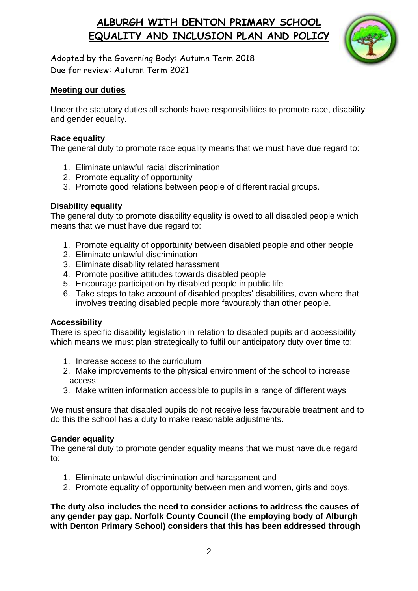

Adopted by the Governing Body: Autumn Term 2018 Due for review: Autumn Term 2021

#### **Meeting our duties**

Under the statutory duties all schools have responsibilities to promote race, disability and gender equality.

#### **Race equality**

The general duty to promote race equality means that we must have due regard to:

- 1. Eliminate unlawful racial discrimination
- 2. Promote equality of opportunity
- 3. Promote good relations between people of different racial groups.

#### **Disability equality**

The general duty to promote disability equality is owed to all disabled people which means that we must have due regard to:

- 1. Promote equality of opportunity between disabled people and other people
- 2. Eliminate unlawful discrimination
- 3. Eliminate disability related harassment
- 4. Promote positive attitudes towards disabled people
- 5. Encourage participation by disabled people in public life
- 6. Take steps to take account of disabled peoples' disabilities, even where that involves treating disabled people more favourably than other people.

#### **Accessibility**

There is specific disability legislation in relation to disabled pupils and accessibility which means we must plan strategically to fulfil our anticipatory duty over time to:

- 1. Increase access to the curriculum
- 2. Make improvements to the physical environment of the school to increase access;
- 3. Make written information accessible to pupils in a range of different ways

We must ensure that disabled pupils do not receive less favourable treatment and to do this the school has a duty to make reasonable adjustments.

#### **Gender equality**

The general duty to promote gender equality means that we must have due regard to:

- 1. Eliminate unlawful discrimination and harassment and
- 2. Promote equality of opportunity between men and women, girls and boys.

**The duty also includes the need to consider actions to address the causes of any gender pay gap. Norfolk County Council (the employing body of Alburgh with Denton Primary School) considers that this has been addressed through**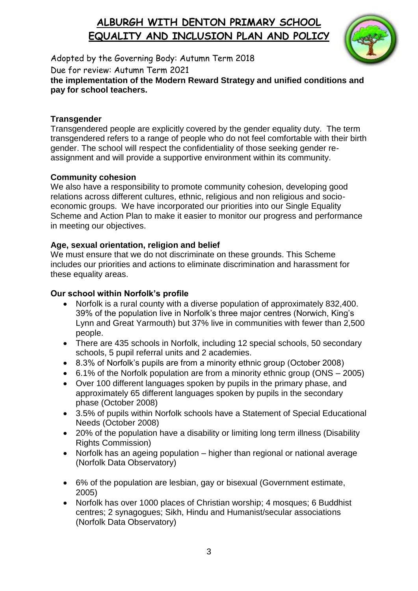

Adopted by the Governing Body: Autumn Term 2018 Due for review: Autumn Term 2021

**the implementation of the Modern Reward Strategy and unified conditions and pay for school teachers.**

### **Transgender**

Transgendered people are explicitly covered by the gender equality duty. The term transgendered refers to a range of people who do not feel comfortable with their birth gender. The school will respect the confidentiality of those seeking gender reassignment and will provide a supportive environment within its community.

## **Community cohesion**

We also have a responsibility to promote community cohesion, developing good relations across different cultures, ethnic, religious and non religious and socioeconomic groups. We have incorporated our priorities into our Single Equality Scheme and Action Plan to make it easier to monitor our progress and performance in meeting our objectives.

## **Age, sexual orientation, religion and belief**

We must ensure that we do not discriminate on these grounds. This Scheme includes our priorities and actions to eliminate discrimination and harassment for these equality areas.

## **Our school within Norfolk's profile**

- Norfolk is a rural county with a diverse population of approximately 832,400. 39% of the population live in Norfolk's three major centres (Norwich, King's Lynn and Great Yarmouth) but 37% live in communities with fewer than 2,500 people.
- There are 435 schools in Norfolk, including 12 special schools, 50 secondary schools, 5 pupil referral units and 2 academies.
- 8.3% of Norfolk's pupils are from a minority ethnic group (October 2008)
- 6.1% of the Norfolk population are from a minority ethnic group (ONS 2005)
- Over 100 different languages spoken by pupils in the primary phase, and approximately 65 different languages spoken by pupils in the secondary phase (October 2008)
- 3.5% of pupils within Norfolk schools have a Statement of Special Educational Needs (October 2008)
- 20% of the population have a disability or limiting long term illness (Disability Rights Commission)
- Norfolk has an ageing population higher than regional or national average (Norfolk Data Observatory)
- 6% of the population are lesbian, gay or bisexual (Government estimate, 2005)
- Norfolk has over 1000 places of Christian worship; 4 mosques; 6 Buddhist centres; 2 synagogues; Sikh, Hindu and Humanist/secular associations (Norfolk Data Observatory)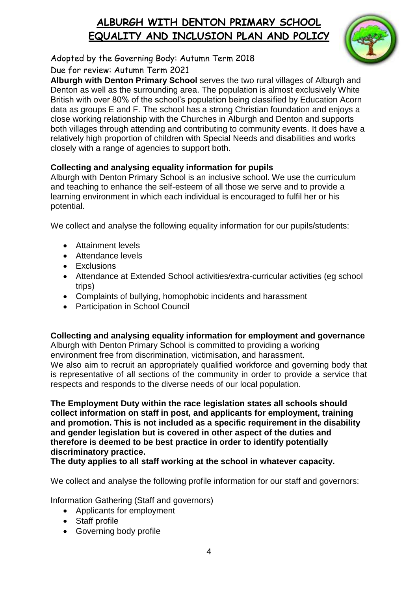

Adopted by the Governing Body: Autumn Term 2018 Due for review: Autumn Term 2021

**Alburgh with Denton Primary School** serves the two rural villages of Alburgh and Denton as well as the surrounding area. The population is almost exclusively White British with over 80% of the school's population being classified by Education Acorn data as groups E and F. The school has a strong Christian foundation and enjoys a close working relationship with the Churches in Alburgh and Denton and supports both villages through attending and contributing to community events. It does have a relatively high proportion of children with Special Needs and disabilities and works closely with a range of agencies to support both.

## **Collecting and analysing equality information for pupils**

Alburgh with Denton Primary School is an inclusive school. We use the curriculum and teaching to enhance the self-esteem of all those we serve and to provide a learning environment in which each individual is encouraged to fulfil her or his potential.

We collect and analyse the following equality information for our pupils/students:

- **Attainment levels**
- Attendance levels
- **Exclusions**
- Attendance at Extended School activities/extra-curricular activities (eg school trips)
- Complaints of bullying, homophobic incidents and harassment
- Participation in School Council

### **Collecting and analysing equality information for employment and governance**

Alburgh with Denton Primary School is committed to providing a working environment free from discrimination, victimisation, and harassment. We also aim to recruit an appropriately qualified workforce and governing body that is representative of all sections of the community in order to provide a service that respects and responds to the diverse needs of our local population.

**The Employment Duty within the race legislation states all schools should collect information on staff in post, and applicants for employment, training and promotion. This is not included as a specific requirement in the disability and gender legislation but is covered in other aspect of the duties and therefore is deemed to be best practice in order to identify potentially discriminatory practice.** 

**The duty applies to all staff working at the school in whatever capacity.** 

We collect and analyse the following profile information for our staff and governors:

Information Gathering (Staff and governors)

- Applicants for employment
- Staff profile
- Governing body profile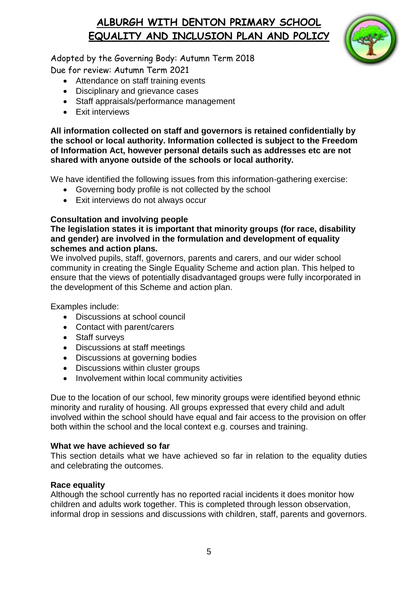

Adopted by the Governing Body: Autumn Term 2018 Due for review: Autumn Term 2021

- Attendance on staff training events
- Disciplinary and grievance cases
- Staff appraisals/performance management
- Exit interviews

**All information collected on staff and governors is retained confidentially by the school or local authority. Information collected is subject to the Freedom of Information Act, however personal details such as addresses etc are not shared with anyone outside of the schools or local authority.**

We have identified the following issues from this information-gathering exercise:

- Governing body profile is not collected by the school
- Exit interviews do not always occur

#### **Consultation and involving people**

#### **The legislation states it is important that minority groups (for race, disability and gender) are involved in the formulation and development of equality schemes and action plans.**

We involved pupils, staff, governors, parents and carers, and our wider school community in creating the Single Equality Scheme and action plan. This helped to ensure that the views of potentially disadvantaged groups were fully incorporated in the development of this Scheme and action plan.

Examples include:

- Discussions at school council
- Contact with parent/carers
- Staff surveys
- Discussions at staff meetings
- Discussions at governing bodies
- Discussions within cluster groups
- Involvement within local community activities

Due to the location of our school, few minority groups were identified beyond ethnic minority and rurality of housing. All groups expressed that every child and adult involved within the school should have equal and fair access to the provision on offer both within the school and the local context e.g. courses and training.

#### **What we have achieved so far**

This section details what we have achieved so far in relation to the equality duties and celebrating the outcomes.

#### **Race equality**

Although the school currently has no reported racial incidents it does monitor how children and adults work together. This is completed through lesson observation, informal drop in sessions and discussions with children, staff, parents and governors.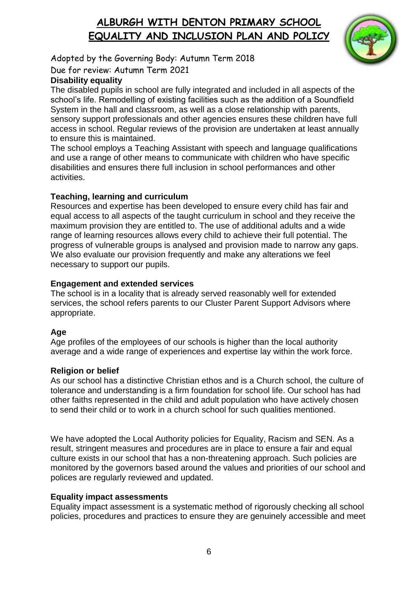

Adopted by the Governing Body: Autumn Term 2018

Due for review: Autumn Term 2021

## **Disability equality**

The disabled pupils in school are fully integrated and included in all aspects of the school's life. Remodelling of existing facilities such as the addition of a Soundfield System in the hall and classroom, as well as a close relationship with parents, sensory support professionals and other agencies ensures these children have full access in school. Regular reviews of the provision are undertaken at least annually to ensure this is maintained.

The school employs a Teaching Assistant with speech and language qualifications and use a range of other means to communicate with children who have specific disabilities and ensures there full inclusion in school performances and other activities.

### **Teaching, learning and curriculum**

Resources and expertise has been developed to ensure every child has fair and equal access to all aspects of the taught curriculum in school and they receive the maximum provision they are entitled to. The use of additional adults and a wide range of learning resources allows every child to achieve their full potential. The progress of vulnerable groups is analysed and provision made to narrow any gaps. We also evaluate our provision frequently and make any alterations we feel necessary to support our pupils.

### **Engagement and extended services**

The school is in a locality that is already served reasonably well for extended services, the school refers parents to our Cluster Parent Support Advisors where appropriate.

## **Age**

Age profiles of the employees of our schools is higher than the local authority average and a wide range of experiences and expertise lay within the work force.

## **Religion or belief**

As our school has a distinctive Christian ethos and is a Church school, the culture of tolerance and understanding is a firm foundation for school life. Our school has had other faiths represented in the child and adult population who have actively chosen to send their child or to work in a church school for such qualities mentioned.

We have adopted the Local Authority policies for Equality, Racism and SEN, As a result, stringent measures and procedures are in place to ensure a fair and equal culture exists in our school that has a non-threatening approach. Such policies are monitored by the governors based around the values and priorities of our school and polices are regularly reviewed and updated.

## **Equality impact assessments**

Equality impact assessment is a systematic method of rigorously checking all school policies, procedures and practices to ensure they are genuinely accessible and meet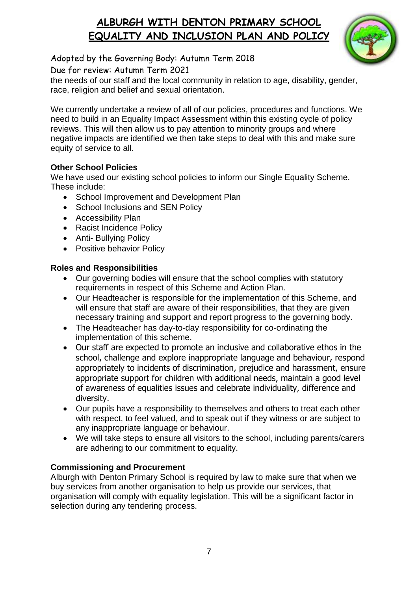

Adopted by the Governing Body: Autumn Term 2018

Due for review: Autumn Term 2021

the needs of our staff and the local community in relation to age, disability, gender, race, religion and belief and sexual orientation.

We currently undertake a review of all of our policies, procedures and functions. We need to build in an Equality Impact Assessment within this existing cycle of policy reviews. This will then allow us to pay attention to minority groups and where negative impacts are identified we then take steps to deal with this and make sure equity of service to all.

## **Other School Policies**

We have used our existing school policies to inform our Single Equality Scheme. These include:

- School Improvement and Development Plan
- School Inclusions and SEN Policy
- Accessibility Plan
- Racist Incidence Policy
- Anti- Bullying Policy
- Positive behavior Policy

### **Roles and Responsibilities**

- Our governing bodies will ensure that the school complies with statutory requirements in respect of this Scheme and Action Plan.
- Our Headteacher is responsible for the implementation of this Scheme, and will ensure that staff are aware of their responsibilities, that they are given necessary training and support and report progress to the governing body.
- The Headteacher has day-to-day responsibility for co-ordinating the implementation of this scheme.
- Our staff are expected to promote an inclusive and collaborative ethos in the school, challenge and explore inappropriate language and behaviour, respond appropriately to incidents of discrimination, prejudice and harassment, ensure appropriate support for children with additional needs, maintain a good level of awareness of equalities issues and celebrate individuality, difference and diversity.
- Our pupils have a responsibility to themselves and others to treat each other with respect, to feel valued, and to speak out if they witness or are subject to any inappropriate language or behaviour.
- We will take steps to ensure all visitors to the school, including parents/carers are adhering to our commitment to equality.

### **Commissioning and Procurement**

Alburgh with Denton Primary School is required by law to make sure that when we buy services from another organisation to help us provide our services, that organisation will comply with equality legislation. This will be a significant factor in selection during any tendering process.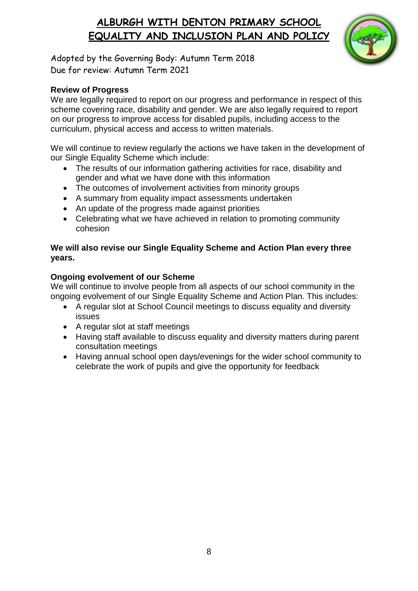

Adopted by the Governing Body: Autumn Term 2018 Due for review: Autumn Term 2021

#### **Review of Progress**

We are legally required to report on our progress and performance in respect of this scheme covering race, disability and gender. We are also legally required to report on our progress to improve access for disabled pupils, including access to the curriculum, physical access and access to written materials.

We will continue to review regularly the actions we have taken in the development of our Single Equality Scheme which include:

- The results of our information gathering activities for race, disability and gender and what we have done with this information
- The outcomes of involvement activities from minority groups
- A summary from equality impact assessments undertaken
- An update of the progress made against priorities
- Celebrating what we have achieved in relation to promoting community cohesion

#### **We will also revise our Single Equality Scheme and Action Plan every three years.**

#### **Ongoing evolvement of our Scheme**

We will continue to involve people from all aspects of our school community in the ongoing evolvement of our Single Equality Scheme and Action Plan. This includes:

- A regular slot at School Council meetings to discuss equality and diversity issues
- A regular slot at staff meetings
- Having staff available to discuss equality and diversity matters during parent consultation meetings
- Having annual school open days/evenings for the wider school community to celebrate the work of pupils and give the opportunity for feedback